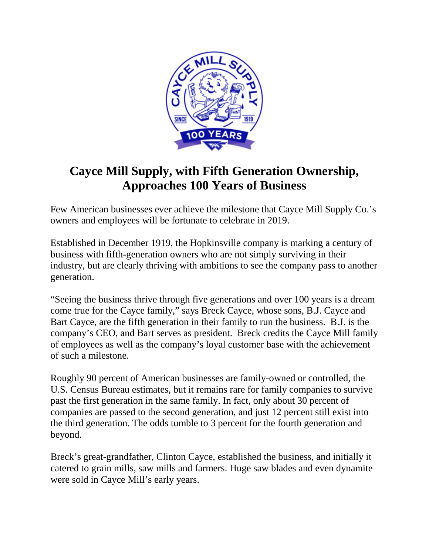

## **Cayce Mill Supply, with Fifth Generation Ownership, Approaches 100 Years of Business**

Few American businesses ever achieve the milestone that Cayce Mill Supply Co.'s owners and employees will be fortunate to celebrate in 2019.

Established in December 1919, the Hopkinsville company is marking a century of business with fifth-generation owners who are not simply surviving in their industry, but are clearly thriving with ambitions to see the company pass to another generation.

"Seeing the business thrive through five generations and over 100 years is a dream come true for the Cayce family," says Breck Cayce, whose sons, B.J. Cayce and Bart Cayce, are the fifth generation in their family to run the business. B.J. is the company's CEO, and Bart serves as president. Breck credits the Cayce Mill family of employees as well as the company's loyal customer base with the achievement of such a milestone.

Roughly 90 percent of American businesses are family-owned or controlled, the U.S. Census Bureau estimates, but it remains rare for family companies to survive past the first generation in the same family. In fact, only about 30 percent of companies are passed to the second generation, and just 12 percent still exist into the third generation. The odds tumble to 3 percent for the fourth generation and beyond.

Breck's great-grandfather, Clinton Cayce, established the business, and initially it catered to grain mills, saw mills and farmers. Huge saw blades and even dynamite were sold in Cayce Mill's early years.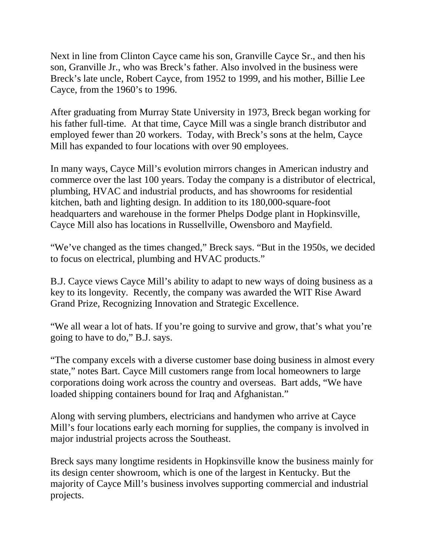Next in line from Clinton Cayce came his son, Granville Cayce Sr., and then his son, Granville Jr., who was Breck's father. Also involved in the business were Breck's late uncle, Robert Cayce, from 1952 to 1999, and his mother, Billie Lee Cayce, from the 1960's to 1996.

After graduating from Murray State University in 1973, Breck began working for his father full-time. At that time, Cayce Mill was a single branch distributor and employed fewer than 20 workers. Today, with Breck's sons at the helm, Cayce Mill has expanded to four locations with over 90 employees.

In many ways, Cayce Mill's evolution mirrors changes in American industry and commerce over the last 100 years. Today the company is a distributor of electrical, plumbing, HVAC and industrial products, and has showrooms for residential kitchen, bath and lighting design. In addition to its 180,000-square-foot headquarters and warehouse in the former Phelps Dodge plant in Hopkinsville, Cayce Mill also has locations in Russellville, Owensboro and Mayfield.

"We've changed as the times changed," Breck says. "But in the 1950s, we decided to focus on electrical, plumbing and HVAC products."

B.J. Cayce views Cayce Mill's ability to adapt to new ways of doing business as a key to its longevity. Recently, the company was awarded the WIT Rise Award Grand Prize, Recognizing Innovation and Strategic Excellence.

"We all wear a lot of hats. If you're going to survive and grow, that's what you're going to have to do," B.J. says.

"The company excels with a diverse customer base doing business in almost every state," notes Bart. Cayce Mill customers range from local homeowners to large corporations doing work across the country and overseas. Bart adds, "We have loaded shipping containers bound for Iraq and Afghanistan."

Along with serving plumbers, electricians and handymen who arrive at Cayce Mill's four locations early each morning for supplies, the company is involved in major industrial projects across the Southeast.

Breck says many longtime residents in Hopkinsville know the business mainly for its design center showroom, which is one of the largest in Kentucky. But the majority of Cayce Mill's business involves supporting commercial and industrial projects.